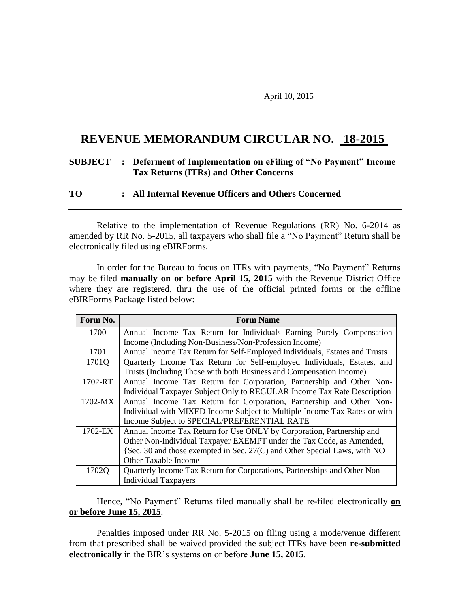April 10, 2015

## **REVENUE MEMORANDUM CIRCULAR NO. 18-2015 .**

## **SUBJECT : Deferment of Implementation on eFiling of "No Payment" Income Tax Returns (ITRs) and Other Concerns**

## **TO : All Internal Revenue Officers and Others Concerned**

Relative to the implementation of Revenue Regulations (RR) No. 6-2014 as amended by RR No. 5-2015, all taxpayers who shall file a "No Payment" Return shall be electronically filed using eBIRForms.

In order for the Bureau to focus on ITRs with payments, "No Payment" Returns may be filed **manually on or before April 15, 2015** with the Revenue District Office where they are registered, thru the use of the official printed forms or the offline eBIRForms Package listed below:

| Form No. | <b>Form Name</b>                                                           |
|----------|----------------------------------------------------------------------------|
| 1700     | Annual Income Tax Return for Individuals Earning Purely Compensation       |
|          | Income (Including Non-Business/Non-Profession Income)                      |
| 1701     | Annual Income Tax Return for Self-Employed Individuals, Estates and Trusts |
| 1701Q    | Quarterly Income Tax Return for Self-employed Individuals, Estates, and    |
|          | Trusts (Including Those with both Business and Compensation Income)        |
| 1702-RT  | Annual Income Tax Return for Corporation, Partnership and Other Non-       |
|          | Individual Taxpayer Subject Only to REGULAR Income Tax Rate Description    |
| 1702-MX  | Annual Income Tax Return for Corporation, Partnership and Other Non-       |
|          | Individual with MIXED Income Subject to Multiple Income Tax Rates or with  |
|          | Income Subject to SPECIAL/PREFERENTIAL RATE                                |
| 1702-EX  | Annual Income Tax Return for Use ONLY by Corporation, Partnership and      |
|          | Other Non-Individual Taxpayer EXEMPT under the Tax Code, as Amended,       |
|          | (Sec. 30 and those exempted in Sec. 27(C) and Other Special Laws, with NO  |
|          | <b>Other Taxable Income</b>                                                |
| 1702Q    | Quarterly Income Tax Return for Corporations, Partnerships and Other Non-  |
|          | <b>Individual Taxpayers</b>                                                |

Hence, "No Payment" Returns filed manually shall be re-filed electronically **on or before June 15, 2015**.

Penalties imposed under RR No. 5-2015 on filing using a mode/venue different from that prescribed shall be waived provided the subject ITRs have been **re-submitted electronically** in the BIR's systems on or before **June 15, 2015**.